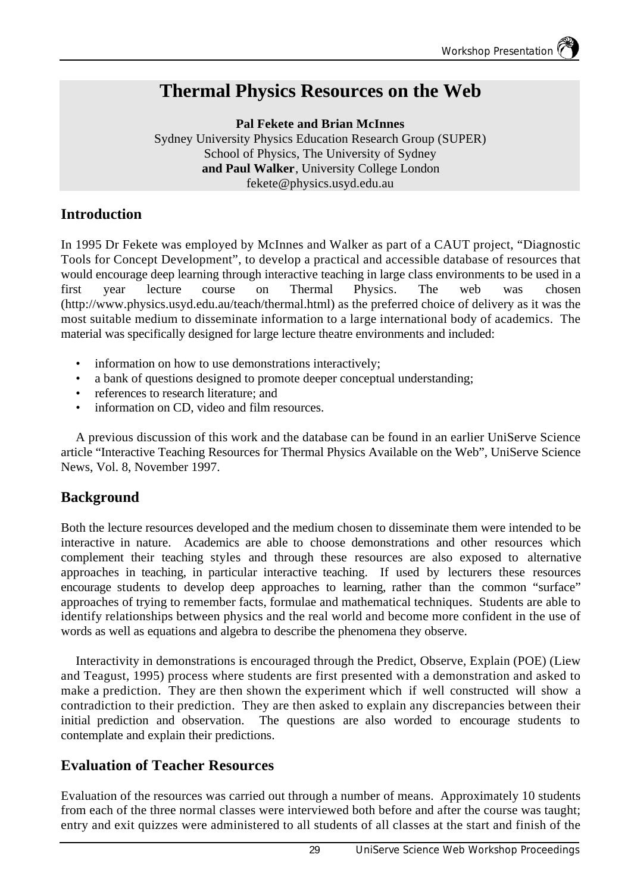# **Thermal Physics Resources on the Web**

**Pal Fekete and Brian McInnes** Sydney University Physics Education Research Group (SUPER) School of Physics, The University of Sydney **and Paul Walker**, University College London fekete@physics.usyd.edu.au

### **Introduction**

In 1995 Dr Fekete was employed by McInnes and Walker as part of a CAUT project, "Diagnostic Tools for Concept Development", to develop a practical and accessible database of resources that would encourage deep learning through interactive teaching in large class environments to be used in a first year lecture course on Thermal Physics. The web was chosen (http://www.physics.usyd.edu.au/teach/thermal.html) as the preferred choice of delivery as it was the most suitable medium to disseminate information to a large international body of academics. The material was specifically designed for large lecture theatre environments and included:

- information on how to use demonstrations interactively;
- a bank of questions designed to promote deeper conceptual understanding;
- references to research literature; and
- information on CD, video and film resources.

A previous discussion of this work and the database can be found in an earlier UniServe Science article "Interactive Teaching Resources for Thermal Physics Available on the Web", UniServe Science News, Vol. 8, November 1997.

#### **Background**

Both the lecture resources developed and the medium chosen to disseminate them were intended to be interactive in nature. Academics are able to choose demonstrations and other resources which complement their teaching styles and through these resources are also exposed to alternative approaches in teaching, in particular interactive teaching. If used by lecturers these resources encourage students to develop deep approaches to learning, rather than the common "surface" approaches of trying to remember facts, formulae and mathematical techniques. Students are able to identify relationships between physics and the real world and become more confident in the use of words as well as equations and algebra to describe the phenomena they observe.

Interactivity in demonstrations is encouraged through the Predict, Observe, Explain (POE) (Liew and Teagust, 1995) process where students are first presented with a demonstration and asked to make a prediction. They are then shown the experiment which if well constructed will show a contradiction to their prediction. They are then asked to explain any discrepancies between their initial prediction and observation. The questions are also worded to encourage students to contemplate and explain their predictions.

#### **Evaluation of Teacher Resources**

Evaluation of the resources was carried out through a number of means. Approximately 10 students from each of the three normal classes were interviewed both before and after the course was taught; entry and exit quizzes were administered to all students of all classes at the start and finish of the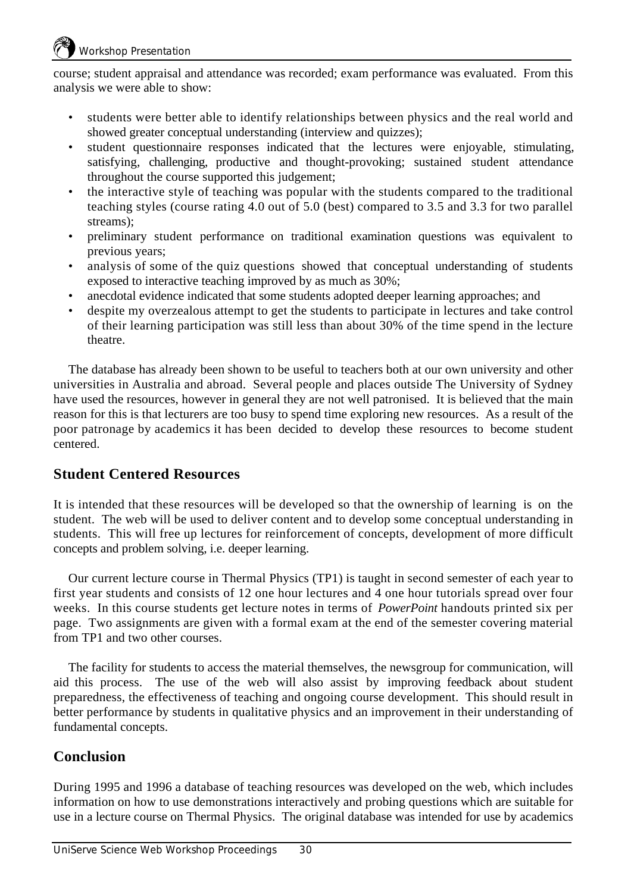course; student appraisal and attendance was recorded; exam performance was evaluated. From this analysis we were able to show:

- students were better able to identify relationships between physics and the real world and showed greater conceptual understanding (interview and quizzes);
- student questionnaire responses indicated that the lectures were enjoyable, stimulating, satisfying, challenging, productive and thought-provoking; sustained student attendance throughout the course supported this judgement;
- the interactive style of teaching was popular with the students compared to the traditional teaching styles (course rating 4.0 out of 5.0 (best) compared to 3.5 and 3.3 for two parallel streams);
- preliminary student performance on traditional examination questions was equivalent to previous years;
- analysis of some of the quiz questions showed that conceptual understanding of students exposed to interactive teaching improved by as much as 30%;
- anecdotal evidence indicated that some students adopted deeper learning approaches; and
- despite my overzealous attempt to get the students to participate in lectures and take control of their learning participation was still less than about 30% of the time spend in the lecture theatre.

The database has already been shown to be useful to teachers both at our own university and other universities in Australia and abroad. Several people and places outside The University of Sydney have used the resources, however in general they are not well patronised. It is believed that the main reason for this is that lecturers are too busy to spend time exploring new resources. As a result of the poor patronage by academics it has been decided to develop these resources to become student centered.

#### **Student Centered Resources**

It is intended that these resources will be developed so that the ownership of learning is on the student. The web will be used to deliver content and to develop some conceptual understanding in students. This will free up lectures for reinforcement of concepts, development of more difficult concepts and problem solving, i.e. deeper learning.

Our current lecture course in Thermal Physics (TP1) is taught in second semester of each year to first year students and consists of 12 one hour lectures and 4 one hour tutorials spread over four weeks. In this course students get lecture notes in terms of *PowerPoint* handouts printed six per page. Two assignments are given with a formal exam at the end of the semester covering material from TP1 and two other courses.

The facility for students to access the material themselves, the newsgroup for communication, will aid this process. The use of the web will also assist by improving feedback about student preparedness, the effectiveness of teaching and ongoing course development. This should result in better performance by students in qualitative physics and an improvement in their understanding of fundamental concepts.

## **Conclusion**

During 1995 and 1996 a database of teaching resources was developed on the web, which includes information on how to use demonstrations interactively and probing questions which are suitable for use in a lecture course on Thermal Physics. The original database was intended for use by academics